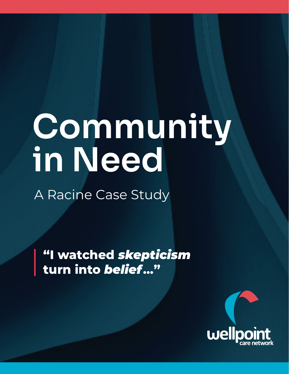# Community in Need

A Racine Case Study

**"I watched** *skepticism*  **turn into** *belief***..."**

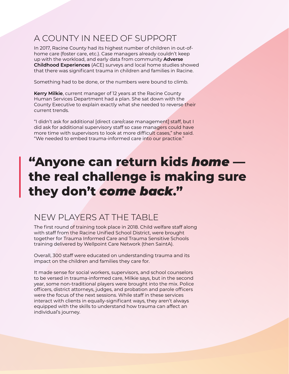# A COUNTY IN NEED OF SUPPORT

In 2017, Racine County had its highest number of children in out-ofhome care (foster care, etc.). Case managers already couldn't keep up with the workload, and early data from community **Adverse Childhood Experiences** (ACE) surveys and local home studies showed that there was significant trauma in children and families in Racine.

Something had to be done, or the numbers were bound to climb.

**Kerry Milkie**, current manager of 12 years at the Racine County Human Services Department had a plan. She sat down with the County Executive to explain exactly what she needed to reverse their current trends.

"I didn't ask for additional [direct care/case management] staff, but I did ask for additional supervisory staff so case managers could have more time with supervisors to look at more difficult cases," she said. "We needed to embed trauma-informed care into our practice."

# **"Anyone can return kids** *home* **the real challenge is making sure they don't** *come back***."**

# NEW PLAYERS AT THE TABLE

The first round of training took place in 2018. Child welfare staff along with staff from the Racine Unified School District, were brought together for Trauma Informed Care and Trauma Sensitive Schools training delivered by Wellpoint Care Network (then SaintA).

Overall, 300 staff were educated on understanding trauma and its impact on the children and families they care for.

It made sense for social workers, supervisors, and school counselors to be versed in trauma-informed care, Milkie says, but in the second year, some non-traditional players were brought into the mix. Police officers, district attorneys, judges, and probation and parole officers were the focus of the next sessions. While staff in these services interact with clients in equally-significant ways, they aren't always equipped with the skills to understand how trauma can affect an individual's journey.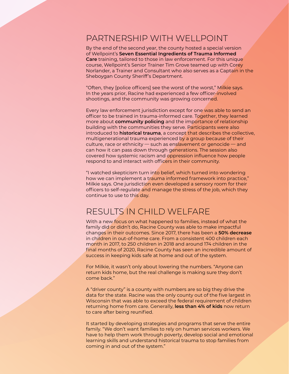#### PARTNERSHIP WITH WELLPOINT

By the end of the second year, the county hosted a special version of Wellpoint's **Seven Essential Ingredients of Trauma Informed Care** training, tailored to those in law enforcement. For this unique course, Wellpoint's Senior Trainer Tim Grove teamed up with Corey Norlander, a Trainer and Consultant who also serves as a Captain in the Sheboygan County Sheriff's Department.

"Often, they [police officers] see the worst of the worst," Milkie says. In the years prior, Racine had experienced a few officer-involved shootings, and the community was growing concerned.

Every law enforcement jurisdiction except for one was able to send an officer to be trained in trauma-informed care. Together, they learned more about **community policing** and the importance of relationship building with the communities they serve. Participants were also introduced to **historical trauma**, a concept that describes the collective, multigenerational trauma experienced by a group because of their culture, race or ethnicity — such as enslavement or genocide — and can how it can pass down through generations. The session also covered how systemic racism and oppression influence how people respond to and interact with officers in their community.

"I watched skepticism turn into belief, which turned into wondering how we can implement a trauma informed framework into practice," Milkie says. One jurisdiction even developed a sensory room for their officers to self-regulate and manage the stress of the job, which they continue to use to this day.

### RESULTS IN CHILD WELFARE

With a new focus on what happened to families, instead of what the family did or didn't do, Racine County was able to make impactful changes in their outcomes. Since 2017, there has been a **50% decrease** in children in out-of-home care. From a consistent 400 children each month in 2017, to 250 children in 2018 and around 174 children in the final months of 2020, Racine County has seen an incredible amount of success in keeping kids safe at home and out of the system.

For Milkie, it wasn't only about lowering the numbers. "Anyone can return kids home, but the real challenge is making sure they don't come back."

A "driver county" is a county with numbers are so big they drive the data for the state. Racine was the only county out of the five largest in Wisconsin that was able to exceed the federal requirement of children returning home from care. Generally, **less than 4% of kids** now return to care after being reunified.

It started by developing strategies and programs that serve the entire family. "We don't want families to rely on human services workers. We have to help them work through poverty, develop social and emotional learning skills and understand historical trauma to stop families from coming in and out of the system."